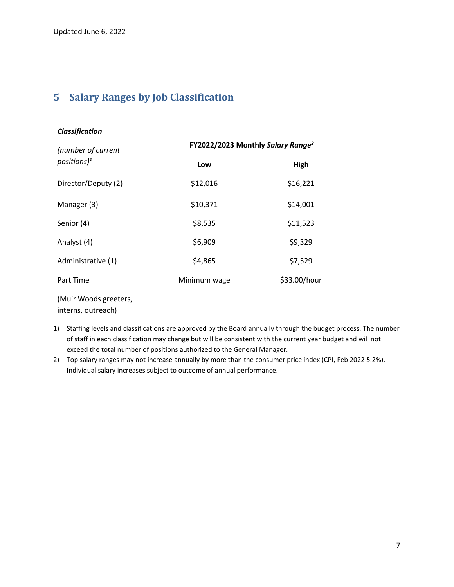## **5 Salary Ranges by Job Classification**

| (number of current  | FY2022/2023 Monthly Salary Range <sup>2</sup> |              |
|---------------------|-----------------------------------------------|--------------|
| $positions)^1$      | Low                                           | High         |
| Director/Deputy (2) | \$12,016                                      | \$16,221     |
| Manager (3)         | \$10,371                                      | \$14,001     |
| Senior (4)          | \$8,535                                       | \$11,523     |
| Analyst (4)         | \$6,909                                       | \$9,329      |
| Administrative (1)  | \$4,865                                       | \$7,529      |
| Part Time           | Minimum wage                                  | \$33.00/hour |

(Muir Woods greeters,

interns, outreach)

- 1) Staffing levels and classifications are approved by the Board annually through the budget process. The number of staff in each classification may change but will be consistent with the current year budget and will not exceed the total number of positions authorized to the General Manager.
- 2) Top salary ranges may not increase annually by more than the consumer price index (CPI, Feb 2022 5.2%). Individual salary increases subject to outcome of annual performance.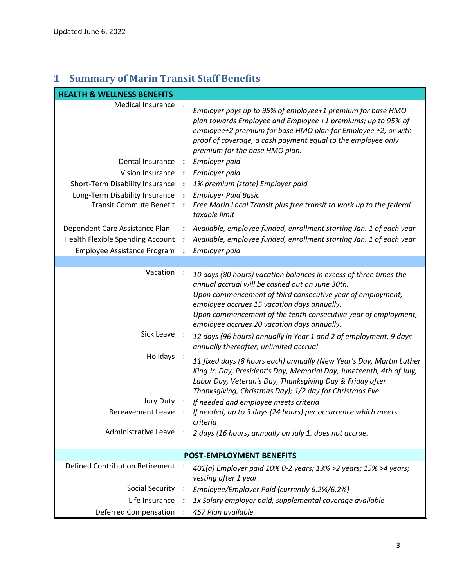## **1 Summary of Marin Transit Staff Benefits**

| <b>HEALTH &amp; WELLNESS BENEFITS</b>  |                      |                                                                                                                                                                                                                                                                                                                                                    |  |
|----------------------------------------|----------------------|----------------------------------------------------------------------------------------------------------------------------------------------------------------------------------------------------------------------------------------------------------------------------------------------------------------------------------------------------|--|
| Medical Insurance                      |                      | Employer pays up to 95% of employee+1 premium for base HMO<br>plan towards Employee and Employee +1 premiums; up to 95% of<br>employee+2 premium for base HMO plan for Employee +2; or with<br>proof of coverage, a cash payment equal to the employee only<br>premium for the base HMO plan.                                                      |  |
| Dental Insurance                       | - 1                  | Employer paid                                                                                                                                                                                                                                                                                                                                      |  |
| Vision Insurance :                     |                      | Employer paid                                                                                                                                                                                                                                                                                                                                      |  |
| Short-Term Disability Insurance        |                      | 1% premium (state) Employer paid                                                                                                                                                                                                                                                                                                                   |  |
| Long-Term Disability Insurance         | $\cdot$ :            | <b>Employer Paid Basic</b>                                                                                                                                                                                                                                                                                                                         |  |
| <b>Transit Commute Benefit</b>         |                      | Free Marin Local Transit plus free transit to work up to the federal<br>taxable limit                                                                                                                                                                                                                                                              |  |
| Dependent Care Assistance Plan         | ÷                    | Available, employee funded, enrollment starting Jan. 1 of each year                                                                                                                                                                                                                                                                                |  |
| Health Flexible Spending Account       | $\ddot{\cdot}$       | Available, employee funded, enrollment starting Jan. 1 of each year                                                                                                                                                                                                                                                                                |  |
| Employee Assistance Program            |                      | Employer paid                                                                                                                                                                                                                                                                                                                                      |  |
|                                        |                      |                                                                                                                                                                                                                                                                                                                                                    |  |
| Vacation                               |                      | 10 days (80 hours) vacation balances in excess of three times the<br>annual accrual will be cashed out on June 30th.<br>Upon commencement of third consecutive year of employment,<br>employee accrues 15 vacation days annually.<br>Upon commencement of the tenth consecutive year of employment,<br>employee accrues 20 vacation days annually. |  |
| Sick Leave                             |                      | 12 days (96 hours) annually in Year 1 and 2 of employment, 9 days<br>annually thereafter, unlimited accrual                                                                                                                                                                                                                                        |  |
| Holidays                               |                      | 11 fixed days (8 hours each) annually (New Year's Day, Martin Luther<br>King Jr. Day, President's Day, Memorial Day, Juneteenth, 4th of July,<br>Labor Day, Veteran's Day, Thanksgiving Day & Friday after<br>Thanksgiving, Christmas Day); 1/2 day for Christmas Eve                                                                              |  |
| Jury Duty                              | $\ddot{\phantom{1}}$ | If needed and employee meets criteria                                                                                                                                                                                                                                                                                                              |  |
| <b>Bereavement Leave</b>               |                      | If needed, up to 3 days (24 hours) per occurrence which meets<br>criteria                                                                                                                                                                                                                                                                          |  |
| Administrative Leave                   | $\ddot{\cdot}$       | 2 days (16 hours) annually on July 1, does not accrue.                                                                                                                                                                                                                                                                                             |  |
| POST-EMPLOYMENT BENEFITS               |                      |                                                                                                                                                                                                                                                                                                                                                    |  |
| <b>Defined Contribution Retirement</b> |                      | 401(a) Employer paid 10% 0-2 years; 13% >2 years; 15% >4 years;<br>vesting after 1 year                                                                                                                                                                                                                                                            |  |
| <b>Social Security</b>                 | $\ddot{\phantom{1}}$ | Employee/Employer Paid (currently 6.2%/6.2%)                                                                                                                                                                                                                                                                                                       |  |
| Life Insurance                         |                      | 1x Salary employer paid, supplemental coverage available                                                                                                                                                                                                                                                                                           |  |
| <b>Deferred Compensation</b>           |                      | 457 Plan available                                                                                                                                                                                                                                                                                                                                 |  |